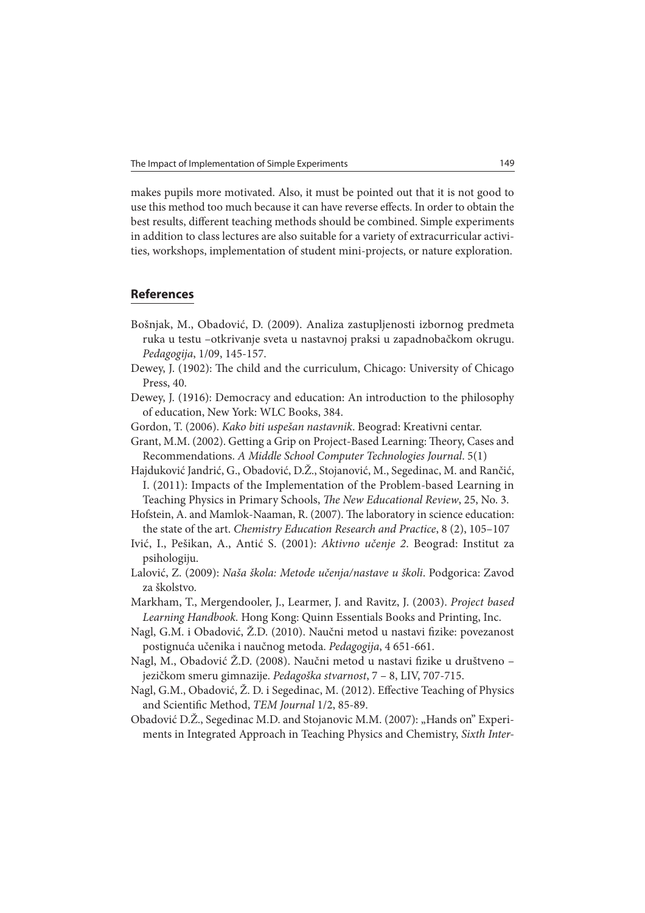makes pupils more motivated. Also, it must be pointed out that it is not good to use this method too much because it can have reverse effects. In order to obtain the best results, different teaching methods should be combined. Simple experiments in addition to class lectures are also suitable for a variety of extracurricular activities, workshops, implementation of student mini-projects, or nature exploration.

## **References**

- Bošnjak, M., Obadović, D. (2009). Analiza zastupljenosti izbornog predmeta ruka u testu –otkrivanje sveta u nastavnoj praksi u zapadnobačkom okrugu. Pedagogija, 1/09, 145-157.
- Dewey, J. (1902): The child and the curriculum, Chicago: University of Chicago Press, 40.
- Dewey, J. (1916): Democracy and education: An introduction to the philosophy of education, New York: WLC Books, 384.
- Gordon, T. (2006). Kako biti uspešan nastavnik. Beograd: Kreativni centar.
- Grant, M.M. (2002). Getting a Grip on Project-Based Learning: Theory, Cases and Recommendations. A Middle School Computer Technologies Journal. 5(1)
- Hajduković Jandrić, G., Obadović, D.Ž., Stojanović, M., Segedinac, M. and Rančić, I. (2011): Impacts of the Implementation of the Problem-based Learning in Teaching Physics in Primary Schools, The New Educational Review, 25, No. 3.
- Hofstein, A. and Mamlok-Naaman, R. (2007). The laboratory in science education: the state of the art. Chemistry Education Research and Practice, 8 (2), 105–107
- Ivić, I., Pešikan, A., Antić S. (2001): Aktivno učenje 2. Beograd: Institut za psihologiju.
- Lalović, Z. (2009): Naša škola: Metode učenja/nastave u školi. Podgorica: Zavod za školstvo.
- Markham, T., Mergendooler, J., Learmer, J. and Ravitz, J. (2003). Project based Learning Handbook. Hong Kong: Quinn Essentials Books and Printing, Inc.
- Nagl, G.M. i Obadović, Ž.D. (2010). Naučni metod u nastavi fizike: povezanost postignuća učenika i naučnog metoda. Pedagogija, 4 651-661.
- Nagl, M., Obadović Ž.D. (2008). Naučni metod u nastavi fizike u društveno jezičkom smeru gimnazije. Pedagoška stvarnost, 7 – 8, LIV, 707-715.
- Nagl, G.M., Obadović, Z.D. i Segedinac, M. (2012). Effective Teaching of Physics and Scientific Method, TEM Journal 1/2, 85-89.
- Obadović D.Ž., Segedinac M.D. and Stojanovic M.M. (2007): "Hands on" Experiments in Integrated Approach in Teaching Physics and Chemistry, Sixth Inter-